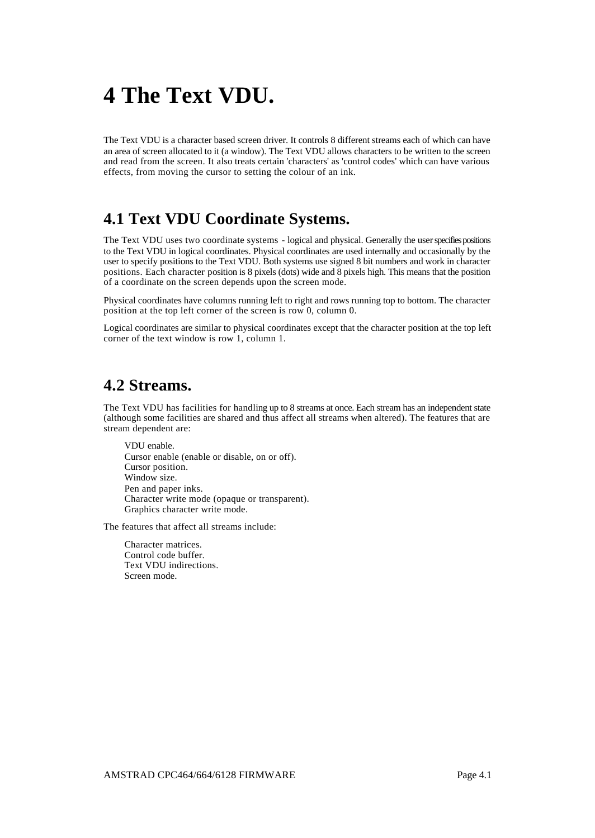# **4 The Text VDU.**

The Text VDU is a character based screen driver. It controls 8 different streams each of which can have an area of screen allocated to it (a window). The Text VDU allows characters to be written to the screen and read from the screen. It also treats certain 'characters' as 'control codes' which can have various effects, from moving the cursor to setting the colour of an ink.

# **4.1 Text VDU Coordinate Systems.**

The Text VDU uses two coordinate systems - logical and physical. Generally the user specifies positions to the Text VDU in logical coordinates. Physical coordinates are used internally and occasionally by the user to specify positions to the Text VDU. Both systems use signed 8 bit numbers and work in character positions. Each character position is 8 pixels (dots) wide and 8 pixels high. This means that the position of a coordinate on the screen depends upon the screen mode.

Physical coordinates have columns running left to right and rows running top to bottom. The character position at the top left corner of the screen is row 0, column 0.

Logical coordinates are similar to physical coordinates except that the character position at the top left corner of the text window is row 1, column 1.

#### **4.2 Streams.**

The Text VDU has facilities for handling up to 8 streams at once. Each stream has an independent state (although some facilities are shared and thus affect all streams when altered). The features that are stream dependent are:

VDU enable. Cursor enable (enable or disable, on or off). Cursor position. Window size. Pen and paper inks. Character write mode (opaque or transparent). Graphics character write mode.

The features that affect all streams include:

Character matrices. Control code buffer. Text VDU indirections. Screen mode.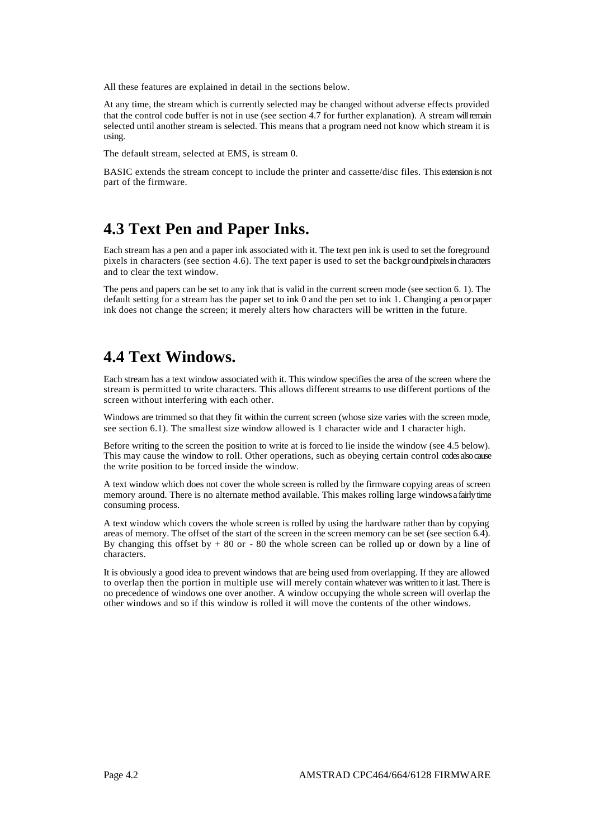All these features are explained in detail in the sections below.

At any time, the stream which is currently selected may be changed without adverse effects provided that the control code buffer is not in use (see section 4.7 for further explanation). A stream will remain selected until another stream is selected. This means that a program need not know which stream it is using.

The default stream, selected at EMS, is stream 0.

BASIC extends the stream concept to include the printer and cassette/disc files. This extension is not part of the firmware.

#### **4.3 Text Pen and Paper Inks.**

Each stream has a pen and a paper ink associated with it. The text pen ink is used to set the foreground pixels in characters (see section 4.6). The text paper is used to set the background pixels in characters and to clear the text window.

The pens and papers can be set to any ink that is valid in the current screen mode (see section 6. 1). The default setting for a stream has the paper set to ink 0 and the pen set to ink 1. Changing a pen or paper ink does not change the screen; it merely alters how characters will be written in the future.

### **4.4 Text Windows.**

Each stream has a text window associated with it. This window specifies the area of the screen where the stream is permitted to write characters. This allows different streams to use different portions of the screen without interfering with each other.

Windows are trimmed so that they fit within the current screen (whose size varies with the screen mode, see section 6.1). The smallest size window allowed is 1 character wide and 1 character high.

Before writing to the screen the position to write at is forced to lie inside the window (see 4.5 below). This may cause the window to roll. Other operations, such as obeying certain control codes also cause the write position to be forced inside the window.

A text window which does not cover the whole screen is rolled by the firmware copying areas of screen memory around. There is no alternate method available. This makes rolling large windows a fairly time consuming process.

A text window which covers the whole screen is rolled by using the hardware rather than by copying areas of memory. The offset of the start of the screen in the screen memory can be set (see section 6.4). By changing this offset by  $+80$  or  $-80$  the whole screen can be rolled up or down by a line of characters.

It is obviously a good idea to prevent windows that are being used from overlapping. If they are allowed to overlap then the portion in multiple use will merely contain whatever was written to it last. There is no precedence of windows one over another. A window occupying the whole screen will overlap the other windows and so if this window is rolled it will move the contents of the other windows.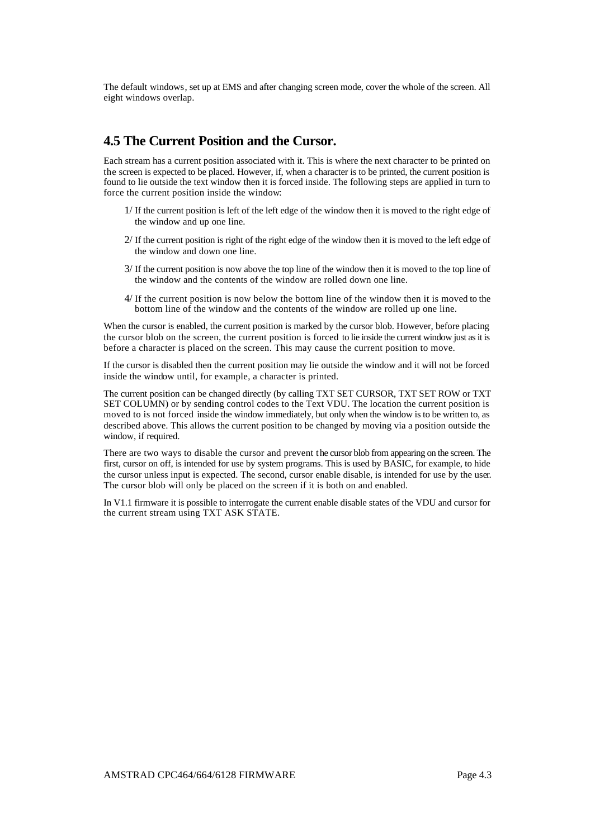The default windows, set up at EMS and after changing screen mode, cover the whole of the screen. All eight windows overlap.

#### **4.5 The Current Position and the Cursor.**

Each stream has a current position associated with it. This is where the next character to be printed on the screen is expected to be placed. However, if, when a character is to be printed, the current position is found to lie outside the text window then it is forced inside. The following steps are applied in turn to force the current position inside the window:

- 1/ If the current position is left of the left edge of the window then it is moved to the right edge of the window and up one line.
- 2/ If the current position is right of the right edge of the window then it is moved to the left edge of the window and down one line.
- 3/ If the current position is now above the top line of the window then it is moved to the top line of the window and the contents of the window are rolled down one line.
- 4/ If the current position is now below the bottom line of the window then it is moved to the bottom line of the window and the contents of the window are rolled up one line.

When the cursor is enabled, the current position is marked by the cursor blob. However, before placing the cursor blob on the screen, the current position is forced to lie inside the current window just as it is before a character is placed on the screen. This may cause the current position to move.

If the cursor is disabled then the current position may lie outside the window and it will not be forced inside the window until, for example, a character is printed.

The current position can be changed directly (by calling TXT SET CURSOR, TXT SET ROW or TXT SET COLUMN) or by sending control codes to the Text VDU. The location the current position is moved to is not forced inside the window immediately, but only when the window is to be written to, as described above. This allows the current position to be changed by moving via a position outside the window, if required.

There are two ways to disable the cursor and prevent the cursor blob from appearing on the screen. The first, cursor on off, is intended for use by system programs. This is used by BASIC, for example, to hide the cursor unless input is expected. The second, cursor enable disable, is intended for use by the user. The cursor blob will only be placed on the screen if it is both on and enabled.

In V1.1 firmware it is possible to interrogate the current enable disable states of the VDU and cursor for the current stream using TXT ASK STATE.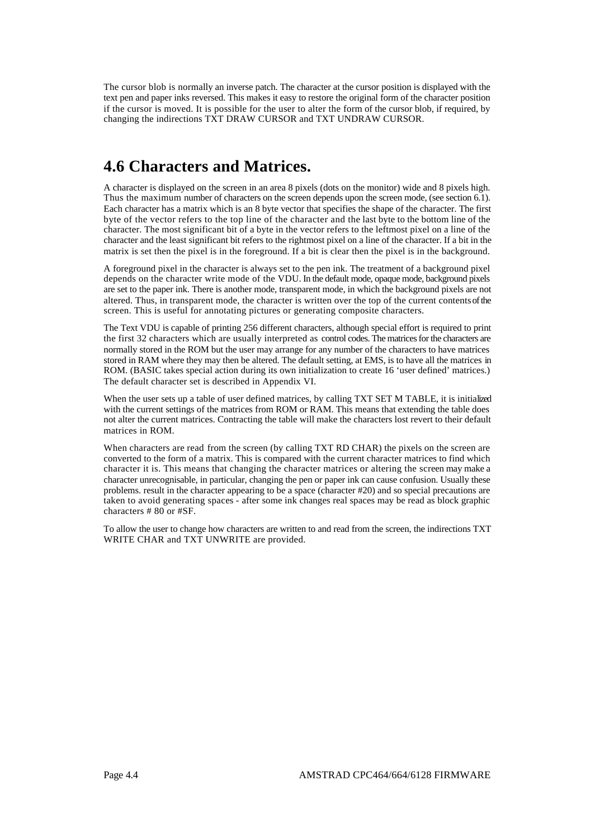The cursor blob is normally an inverse patch. The character at the cursor position is displayed with the text pen and paper inks reversed. This makes it easy to restore the original form of the character position if the cursor is moved. It is possible for the user to alter the form of the cursor blob, if required, by changing the indirections TXT DRAW CURSOR and TXT UNDRAW CURSOR.

## **4.6 Characters and Matrices.**

A character is displayed on the screen in an area 8 pixels (dots on the monitor) wide and 8 pixels high. Thus the maximum number of characters on the screen depends upon the screen mode, (see section 6.1). Each character has a matrix which is an 8 byte vector that specifies the shape of the character. The first byte of the vector refers to the top line of the character and the last byte to the bottom line of the character. The most significant bit of a byte in the vector refers to the leftmost pixel on a line of the character and the least significant bit refers to the rightmost pixel on a line of the character. If a bit in the matrix is set then the pixel is in the foreground. If a bit is clear then the pixel is in the background.

A foreground pixel in the character is always set to the pen ink. The treatment of a background pixel depends on the character write mode of the VDU. In the default mode, opaque mode, background pixels are set to the paper ink. There is another mode, transparent mode, in which the background pixels are not altered. Thus, in transparent mode, the character is written over the top of the current contents of the screen. This is useful for annotating pictures or generating composite characters.

The Text VDU is capable of printing 256 different characters, although special effort is required to print the first 32 characters which are usually interpreted as control codes. The matrices for the characters are normally stored in the ROM but the user may arrange for any number of the characters to have matrices stored in RAM where they may then be altered. The default setting, at EMS, is to have all the matrices in ROM. (BASIC takes special action during its own initialization to create 16 'user defined' matrices.) The default character set is described in Appendix VI.

When the user sets up a table of user defined matrices, by calling TXT SET M TABLE, it is initialized with the current settings of the matrices from ROM or RAM. This means that extending the table does not alter the current matrices. Contracting the table will make the characters lost revert to their default matrices in ROM.

When characters are read from the screen (by calling TXT RD CHAR) the pixels on the screen are converted to the form of a matrix. This is compared with the current character matrices to find which character it is. This means that changing the character matrices or altering the screen may make a character unrecognisable, in particular, changing the pen or paper ink can cause confusion. Usually these problems. result in the character appearing to be a space (character #20) and so special precautions are taken to avoid generating spaces - after some ink changes real spaces may be read as block graphic characters # 80 or #SF.

To allow the user to change how characters are written to and read from the screen, the indirections TXT WRITE CHAR and TXT UNWRITE are provided.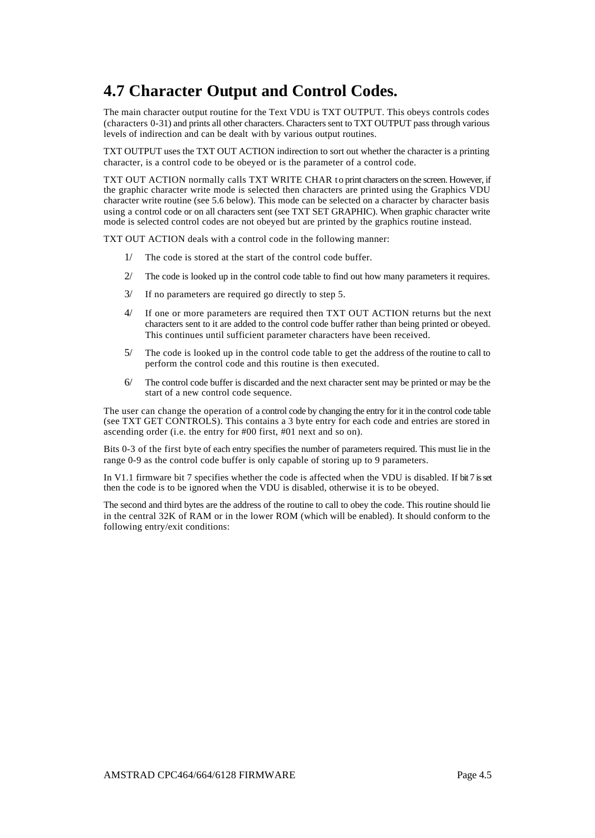# **4.7 Character Output and Control Codes.**

The main character output routine for the Text VDU is TXT OUTPUT. This obeys controls codes (characters 0-31) and prints all other characters. Characters sent to TXT OUTPUT pass through various levels of indirection and can be dealt with by various output routines.

TXT OUTPUT uses the TXT OUT ACTION indirection to sort out whether the character is a printing character, is a control code to be obeyed or is the parameter of a control code.

TXT OUT ACTION normally calls TXT WRITE CHAR to print characters on the screen. However, if the graphic character write mode is selected then characters are printed using the Graphics VDU character write routine (see 5.6 below). This mode can be selected on a character by character basis using a control code or on all characters sent (see TXT SET GRAPHIC). When graphic character write mode is selected control codes are not obeyed but are printed by the graphics routine instead.

TXT OUT ACTION deals with a control code in the following manner:

- The code is stored at the start of the control code buffer.
- 2/ The code is looked up in the control code table to find out how many parameters it requires.
- 3/ If no parameters are required go directly to step 5.
- 4/ If one or more parameters are required then TXT OUT ACTION returns but the next characters sent to it are added to the control code buffer rather than being printed or obeyed. This continues until sufficient parameter characters have been received.
- 5/ The code is looked up in the control code table to get the address of the routine to call to perform the control code and this routine is then executed.
- 6/ The control code buffer is discarded and the next character sent may be printed or may be the start of a new control code sequence.

The user can change the operation of a control code by changing the entry for it in the control code table (see TXT GET CONTROLS). This contains a 3 byte entry for each code and entries are stored in ascending order (i.e. the entry for #00 first, #01 next and so on).

Bits 0-3 of the first byte of each entry specifies the number of parameters required. This must lie in the range 0-9 as the control code buffer is only capable of storing up to 9 parameters.

In V1.1 firmware bit 7 specifies whether the code is affected when the VDU is disabled. If bit 7 is set then the code is to be ignored when the VDU is disabled, otherwise it is to be obeyed.

The second and third bytes are the address of the routine to call to obey the code. This routine should lie in the central 32K of RAM or in the lower ROM (which will be enabled). It should conform to the following entry/exit conditions: